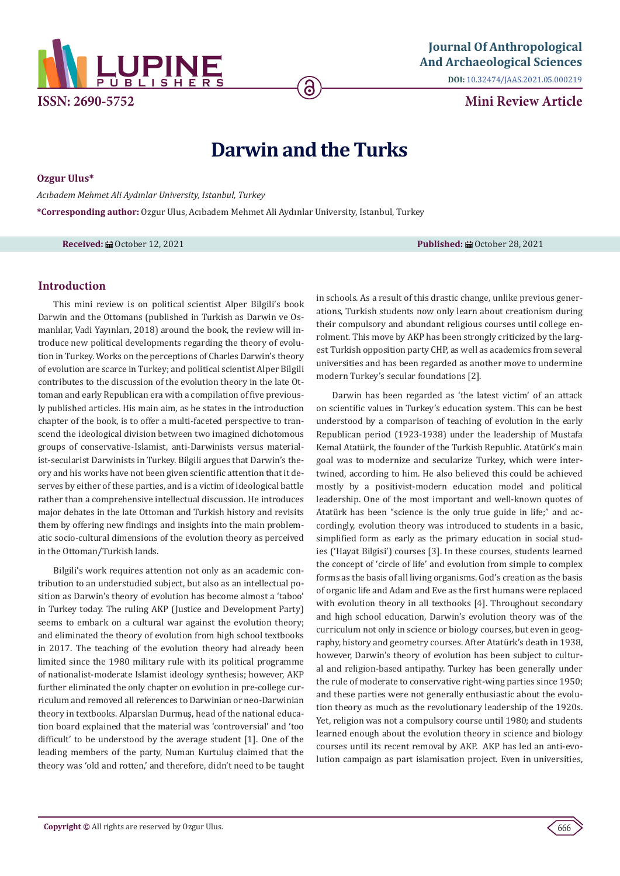

**DOI:** [10.32474/JAAS.2021.05.0002](http://dx.doi.org/10.32474/JAAS.2021.05.000219)19

**Mini Review Article**

# **Darwin and the Turks**

**Ozgur Ulus\***

*Acıbadem Mehmet Ali Aydınlar University, Istanbul, Turkey*

**\*Corresponding author:** Ozgur Ulus, Acıbadem Mehmet Ali Aydınlar University, Istanbul, Turkey

**Received:** ■ October 12, 2021 **Published:** ■ October 28, 2021

# **Introduction**

This mini review is on political scientist Alper Bilgili's book Darwin and the Ottomans (published in Turkish as Darwin ve Osmanlılar, Vadi Yayınları, 2018) around the book, the review will introduce new political developments regarding the theory of evolution in Turkey. Works on the perceptions of Charles Darwin's theory of evolution are scarce in Turkey; and political scientist Alper Bilgili contributes to the discussion of the evolution theory in the late Ottoman and early Republican era with a compilation of five previously published articles. His main aim, as he states in the introduction chapter of the book, is to offer a multi-faceted perspective to transcend the ideological division between two imagined dichotomous groups of conservative-Islamist, anti-Darwinists versus materialist-secularist Darwinists in Turkey. Bilgili argues that Darwin's theory and his works have not been given scientific attention that it deserves by either of these parties, and is a victim of ideological battle rather than a comprehensive intellectual discussion. He introduces major debates in the late Ottoman and Turkish history and revisits them by offering new findings and insights into the main problematic socio-cultural dimensions of the evolution theory as perceived in the Ottoman/Turkish lands.

Bilgili's work requires attention not only as an academic contribution to an understudied subject, but also as an intellectual position as Darwin's theory of evolution has become almost a 'taboo' in Turkey today. The ruling AKP (Justice and Development Party) seems to embark on a cultural war against the evolution theory; and eliminated the theory of evolution from high school textbooks in 2017. The teaching of the evolution theory had already been limited since the 1980 military rule with its political programme of nationalist-moderate Islamist ideology synthesis; however, AKP further eliminated the only chapter on evolution in pre-college curriculum and removed all references to Darwinian or neo-Darwinian theory in textbooks. Alparslan Durmuş, head of the national education board explained that the material was 'controversial' and 'too difficult' to be understood by the average student [1]. One of the leading members of the party, Numan Kurtuluş claimed that the theory was 'old and rotten,' and therefore, didn't need to be taught in schools. As a result of this drastic change, unlike previous generations, Turkish students now only learn about creationism during their compulsory and abundant religious courses until college enrolment. This move by AKP has been strongly criticized by the largest Turkish opposition party CHP, as well as academics from several universities and has been regarded as another move to undermine modern Turkey's secular foundations [2].

Darwin has been regarded as 'the latest victim' of an attack on scientific values in Turkey's education system. This can be best understood by a comparison of teaching of evolution in the early Republican period (1923-1938) under the leadership of Mustafa Kemal Atatürk, the founder of the Turkish Republic. Atatürk's main goal was to modernize and secularize Turkey, which were intertwined, according to him. He also believed this could be achieved mostly by a positivist-modern education model and political leadership. One of the most important and well-known quotes of Atatürk has been "science is the only true guide in life;" and accordingly, evolution theory was introduced to students in a basic, simplified form as early as the primary education in social studies ('Hayat Bilgisi') courses [3]. In these courses, students learned the concept of 'circle of life' and evolution from simple to complex forms as the basis of all living organisms. God's creation as the basis of organic life and Adam and Eve as the first humans were replaced with evolution theory in all textbooks [4]. Throughout secondary and high school education, Darwin's evolution theory was of the curriculum not only in science or biology courses, but even in geography, history and geometry courses. After Atatürk's death in 1938, however, Darwin's theory of evolution has been subject to cultural and religion-based antipathy. Turkey has been generally under the rule of moderate to conservative right-wing parties since 1950; and these parties were not generally enthusiastic about the evolution theory as much as the revolutionary leadership of the 1920s. Yet, religion was not a compulsory course until 1980; and students learned enough about the evolution theory in science and biology courses until its recent removal by AKP. AKP has led an anti-evolution campaign as part islamisation project. Even in universities,